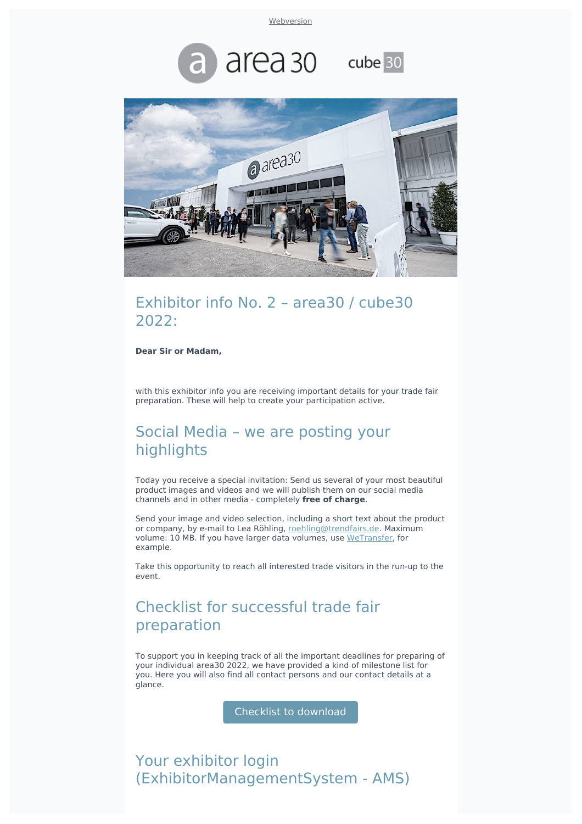**[Webversion](file:///var/www/html/public/%7B%7B%20mirror%20%7D%7D)** 





#### Exhibitor info No. 2 - area30 / cube30 2022:

**Dear Sir or Madam,**

with this exhibitor info you are receiving important details for your trade fair preparation. These will help to create your participation active.

# Social Media - we are posting your highlights

Today you receive a special invitation: Send us several of your most beautiful product images and videos and we will publish them on our social media channels and in other media - completely **free of charge**.

Send your image and video selection, including a short text about the product or company, by e-mail to Lea Röhling, [roehling@trendfairs.de.](mailto:roehling@trendfairs.de?subject=Image%20data%20area30%20for%20social%20media&body=Dear%20Ms.%20R%C3%B6hling%2C%0A%0A) Maximum volume: 10 MB. If you have larger data volumes, use [WeTransfer](https://wetransfer.com/?utm_source=sendinblue&utm_campaign=Exhibitor%20info%20No%202%20%20area30%20%20cube30%202022%20Advertising%20Media%20Social%20Media%20Checklist%20AMS&utm_medium=email), for example.

Take this opportunity to reach all interested trade visitors in the run-up to the event.

# Checklist for successful trade fair preparation

To support you in keeping track of all the important deadlines for preparing of your individual area30 2022, we have provided a kind of milestone list for you. Here you will also find all contact persons and our contact details at a glance.

Checklist to download

Your exhibitor login (ExhibitorManagementSystem - AMS)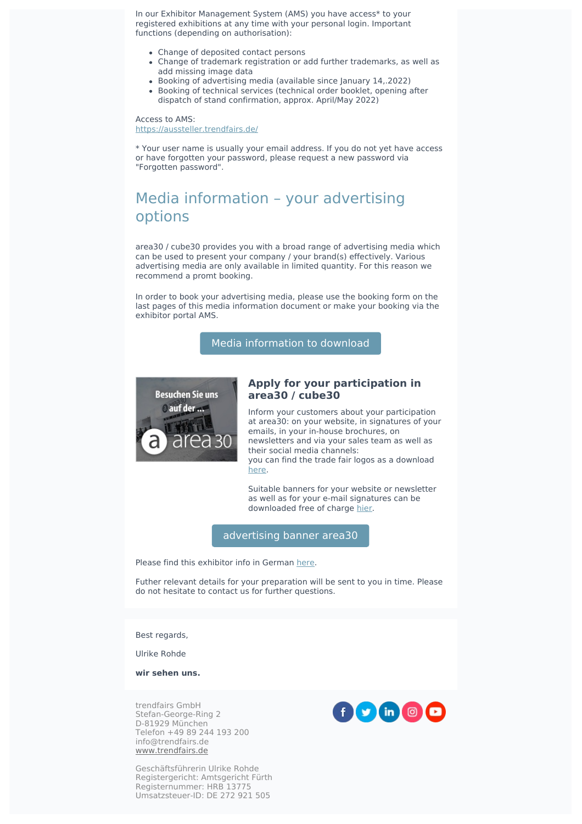In our Exhibitor Management System (AMS) you have access\* to your registered exhibitions at any time with your personal login. Important functions (depending on authorisation):

- Change of deposited contact persons
- Change of trademark registration or add further trademarks, as well as add missing image data
- Booking of advertising media (available since January 14,.2022)
- Booking of technical services (technical order booklet, opening after dispatch of stand confirmation, approx. April/May 2022)

Access to AMS: [https://aussteller.trendfairs.de/](https://aussteller.trendfairs.de/?utm_source=sendinblue&utm_campaign=Exhibitor%20info%20No%202%20%20area30%20%20cube30%202022%20Advertising%20Media%20Social%20Media%20Checklist%20AMS&utm_medium=email)

\* Your user name is usually your email address. If you do not yet have access or have forgotten your password, please request a new password via "Forgotten password".

# Media information – your advertising options

area30 / cube30 provides you with a broad range of advertising media which can be used to present your company / your brand(s) effectively. Various advertising media are only available in limited quantity. For this reason we recommend a promt booking.

In order to book your advertising media, please use the booking form on the last pages of this media information document or make your booking via the exhibitor portal AMS.

Media [information](https://www.trendfairs.de/files/data/area30/downloads/aussteller/area30_2022_mediadaten_en.pdf?utm_source=sendinblue&utm_campaign=Exhibitor%20info%20No%202%20%20area30%20%20cube30%202022%20Advertising%20Media%20Social%20Media%20Checklist%20AMS&utm_medium=email) to download



#### **Apply for your participation in area30 / cube30**

Inform your customers about your participation at area30: on your website, in signatures of your emails, in your in-house brochures, on newsletters and via your sales team as well as their social media channels: you can find the trade fair logos as a download [here](https://www.area-30.de/presse/?file=files/data/area30/downloads/area30_logo.zip&utm_source=sendinblue&utm_campaign=Exhibitor%20info%20No%202%20%20area30%20%20cube30%202022%20Advertising%20Media%20Social%20Media%20Checklist%20AMS&utm_medium=email).

Suitable banners for your website or newsletter as well as for your e-mail signatures can be downloaded free of charge [hier](https://www.area-30.de/aussteller/banner/?utm_source=sendinblue&utm_campaign=Exhibitor%20info%20No%202%20%20area30%20%20cube30%202022%20Advertising%20Media%20Social%20Media%20Checklist%20AMS&utm_medium=email).

[advertising](https://www.area-30.de/exhibitor/banner/?utm_source=sendinblue&utm_campaign=Exhibitor%20info%20No%202%20%20area30%20%20cube30%202022%20Advertising%20Media%20Social%20Media%20Checklist%20AMS&utm_medium=email) banner area30

Please find this exhibitor info in German [here.](https://www.area-30.de/aussteller/ausstellerinformationen/?utm_source=sendinblue&utm_campaign=Exhibitor%20info%20No%202%20%20area30%20%20cube30%202022%20Advertising%20Media%20Social%20Media%20Checklist%20AMS&utm_medium=email)

Futher relevant details for your preparation will be sent to you in time. Please do not hesitate to contact us for further questions.

Best regards,

Ulrike Rohde

**wir sehen uns.**

trendfairs GmbH Stefan-George-Ring 2 D-81929 München Telefon +49 89 244 193 200 info@trendfairs.de [www.trendfairs.de](http://www.trendfairs.de/?utm_source=sendinblue&utm_campaign=Exhibitor%20info%20No%202%20%20area30%20%20cube30%202022%20Advertising%20Media%20Social%20Media%20Checklist%20AMS&utm_medium=email)

Geschäftsführerin Ulrike Rohde Registergericht: Amtsgericht Fürth Registernummer: HRB 13775 Umsatzsteuer-ID: DE 272 921 505